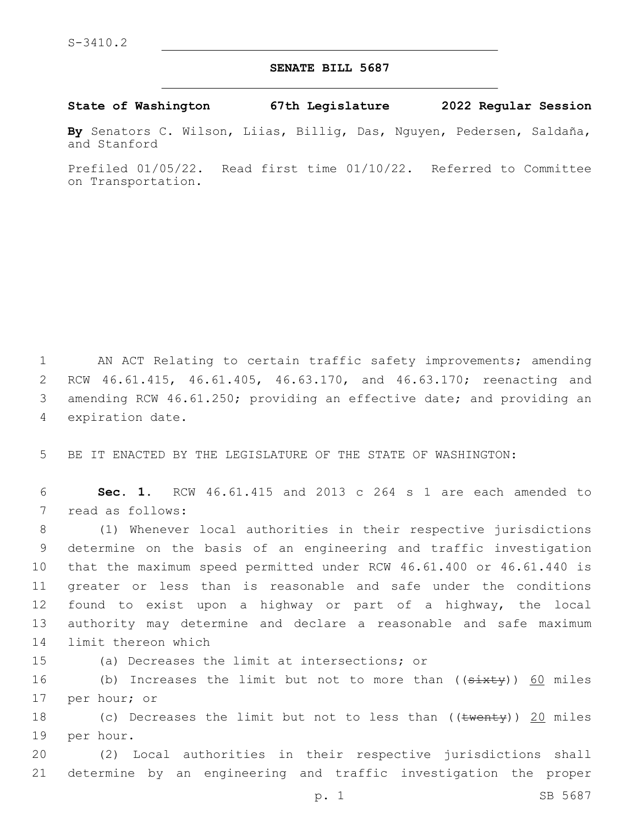## **SENATE BILL 5687**

**State of Washington 67th Legislature 2022 Regular Session**

**By** Senators C. Wilson, Liias, Billig, Das, Nguyen, Pedersen, Saldaña, and Stanford

Prefiled 01/05/22. Read first time 01/10/22. Referred to Committee on Transportation.

 AN ACT Relating to certain traffic safety improvements; amending RCW 46.61.415, 46.61.405, 46.63.170, and 46.63.170; reenacting and amending RCW 46.61.250; providing an effective date; and providing an 4 expiration date.

5 BE IT ENACTED BY THE LEGISLATURE OF THE STATE OF WASHINGTON:

6 **Sec. 1.** RCW 46.61.415 and 2013 c 264 s 1 are each amended to 7 read as follows:

 (1) Whenever local authorities in their respective jurisdictions determine on the basis of an engineering and traffic investigation that the maximum speed permitted under RCW 46.61.400 or 46.61.440 is greater or less than is reasonable and safe under the conditions found to exist upon a highway or part of a highway, the local authority may determine and declare a reasonable and safe maximum 14 limit thereon which

15 (a) Decreases the limit at intersections; or

16 (b) Increases the limit but not to more than ((<del>sixty</del>)) <u>60</u> miles 17 per hour; or

18 (c) Decreases the limit but not to less than ((twenty)) 20 miles 19 per hour.

20 (2) Local authorities in their respective jurisdictions shall 21 determine by an engineering and traffic investigation the proper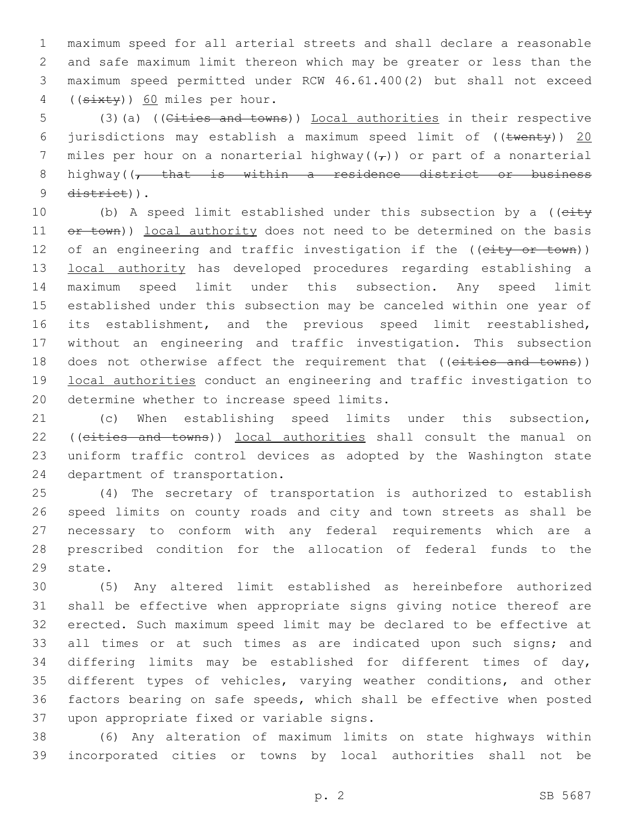maximum speed for all arterial streets and shall declare a reasonable and safe maximum limit thereon which may be greater or less than the maximum speed permitted under RCW 46.61.400(2) but shall not exceed 4 ((sixty)) 60 miles per hour.

5 (3)(a) ((Cities and towns)) Local authorities in their respective 6 jurisdictions may establish a maximum speed limit of  $((\text{twenty}))$  20 7 miles per hour on a nonarterial highway( $(\tau)$ ) or part of a nonarterial 8 highway((, that is within a residence district or business 9 district)).

10 (b) A speed limit established under this subsection by a ((eity 11  $e^{\frac{1}{2}}$   $e^{\frac{1}{2}}$  authority does not need to be determined on the basis 12 of an engineering and traffic investigation if the ((city or town)) 13 local authority has developed procedures regarding establishing a 14 maximum speed limit under this subsection. Any speed limit 15 established under this subsection may be canceled within one year of 16 its establishment, and the previous speed limit reestablished, 17 without an engineering and traffic investigation. This subsection 18 does not otherwise affect the requirement that ((eities and towns)) 19 local authorities conduct an engineering and traffic investigation to 20 determine whether to increase speed limits.

21 (c) When establishing speed limits under this subsection, 22 ((cities and towns)) local authorities shall consult the manual on 23 uniform traffic control devices as adopted by the Washington state 24 department of transportation.

 (4) The secretary of transportation is authorized to establish speed limits on county roads and city and town streets as shall be necessary to conform with any federal requirements which are a prescribed condition for the allocation of federal funds to the 29 state.

 (5) Any altered limit established as hereinbefore authorized shall be effective when appropriate signs giving notice thereof are erected. Such maximum speed limit may be declared to be effective at 33 all times or at such times as are indicated upon such signs; and differing limits may be established for different times of day, different types of vehicles, varying weather conditions, and other factors bearing on safe speeds, which shall be effective when posted 37 upon appropriate fixed or variable signs.

38 (6) Any alteration of maximum limits on state highways within 39 incorporated cities or towns by local authorities shall not be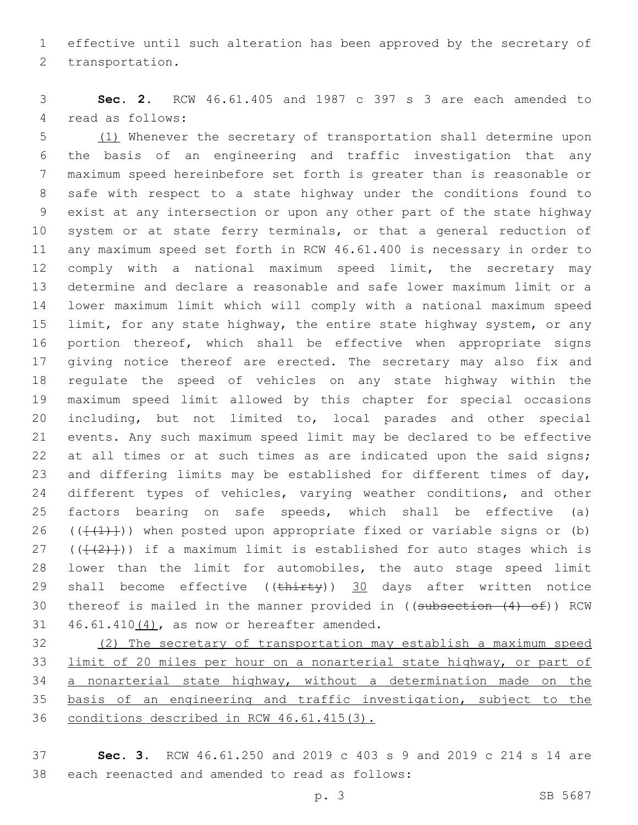effective until such alteration has been approved by the secretary of 2 transportation.

 **Sec. 2.** RCW 46.61.405 and 1987 c 397 s 3 are each amended to 4 read as follows:

 (1) Whenever the secretary of transportation shall determine upon the basis of an engineering and traffic investigation that any maximum speed hereinbefore set forth is greater than is reasonable or safe with respect to a state highway under the conditions found to exist at any intersection or upon any other part of the state highway system or at state ferry terminals, or that a general reduction of any maximum speed set forth in RCW 46.61.400 is necessary in order to comply with a national maximum speed limit, the secretary may determine and declare a reasonable and safe lower maximum limit or a lower maximum limit which will comply with a national maximum speed limit, for any state highway, the entire state highway system, or any portion thereof, which shall be effective when appropriate signs 17 giving notice thereof are erected. The secretary may also fix and regulate the speed of vehicles on any state highway within the maximum speed limit allowed by this chapter for special occasions including, but not limited to, local parades and other special events. Any such maximum speed limit may be declared to be effective 22 at all times or at such times as are indicated upon the said signs; and differing limits may be established for different times of day, 24 different types of vehicles, varying weather conditions, and other factors bearing on safe speeds, which shall be effective (a) 26 ( $(\{\{\{\}\})$ ) when posted upon appropriate fixed or variable signs or (b) 27 ( $(\{\{\{2\}\})$ ) if a maximum limit is established for auto stages which is lower than the limit for automobiles, the auto stage speed limit 29 shall become effective ( $(\text{thirty})$ ) 30 days after written notice 30 thereof is mailed in the manner provided in ((subsection (4) of)) RCW  $46.61.410(4)$ , as now or hereafter amended.

 (2) The secretary of transportation may establish a maximum speed limit of 20 miles per hour on a nonarterial state highway, or part of 34 a nonarterial state highway, without a determination made on the basis of an engineering and traffic investigation, subject to the conditions described in RCW 46.61.415(3).

 **Sec. 3.** RCW 46.61.250 and 2019 c 403 s 9 and 2019 c 214 s 14 are 38 each reenacted and amended to read as follows: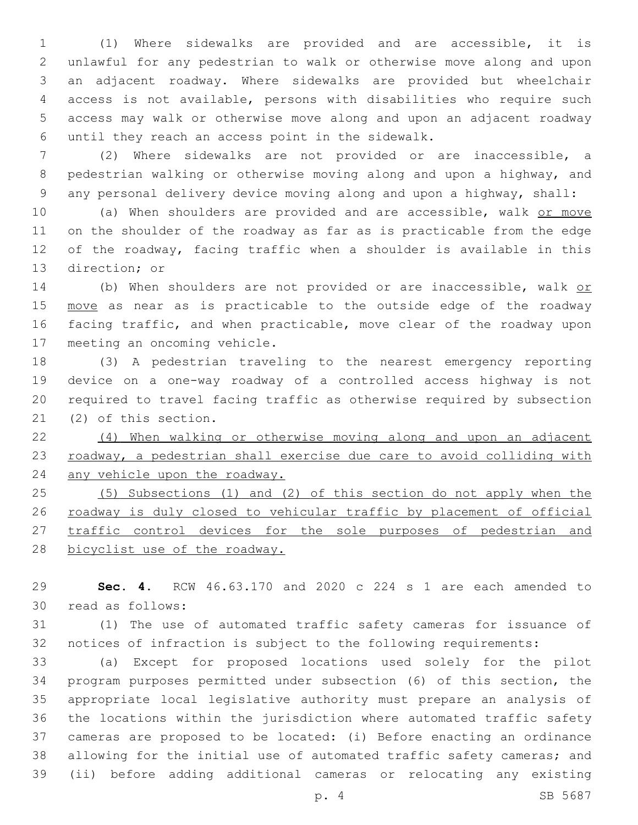(1) Where sidewalks are provided and are accessible, it is unlawful for any pedestrian to walk or otherwise move along and upon an adjacent roadway. Where sidewalks are provided but wheelchair access is not available, persons with disabilities who require such access may walk or otherwise move along and upon an adjacent roadway until they reach an access point in the sidewalk.6

 (2) Where sidewalks are not provided or are inaccessible, a pedestrian walking or otherwise moving along and upon a highway, and any personal delivery device moving along and upon a highway, shall:

10 (a) When shoulders are provided and are accessible, walk or move on the shoulder of the roadway as far as is practicable from the edge of the roadway, facing traffic when a shoulder is available in this 13 direction; or

14 (b) When shoulders are not provided or are inaccessible, walk or 15 move as near as is practicable to the outside edge of the roadway facing traffic, and when practicable, move clear of the roadway upon 17 meeting an oncoming vehicle.

 (3) A pedestrian traveling to the nearest emergency reporting device on a one-way roadway of a controlled access highway is not required to travel facing traffic as otherwise required by subsection 21 (2) of this section.

 (4) When walking or otherwise moving along and upon an adjacent 23 roadway, a pedestrian shall exercise due care to avoid colliding with 24 any vehicle upon the roadway.

 (5) Subsections (1) and (2) of this section do not apply when the roadway is duly closed to vehicular traffic by placement of official 27 traffic control devices for the sole purposes of pedestrian and 28 bicyclist use of the roadway.

 **Sec. 4.** RCW 46.63.170 and 2020 c 224 s 1 are each amended to 30 read as follows:

 (1) The use of automated traffic safety cameras for issuance of notices of infraction is subject to the following requirements:

 (a) Except for proposed locations used solely for the pilot program purposes permitted under subsection (6) of this section, the appropriate local legislative authority must prepare an analysis of the locations within the jurisdiction where automated traffic safety cameras are proposed to be located: (i) Before enacting an ordinance allowing for the initial use of automated traffic safety cameras; and (ii) before adding additional cameras or relocating any existing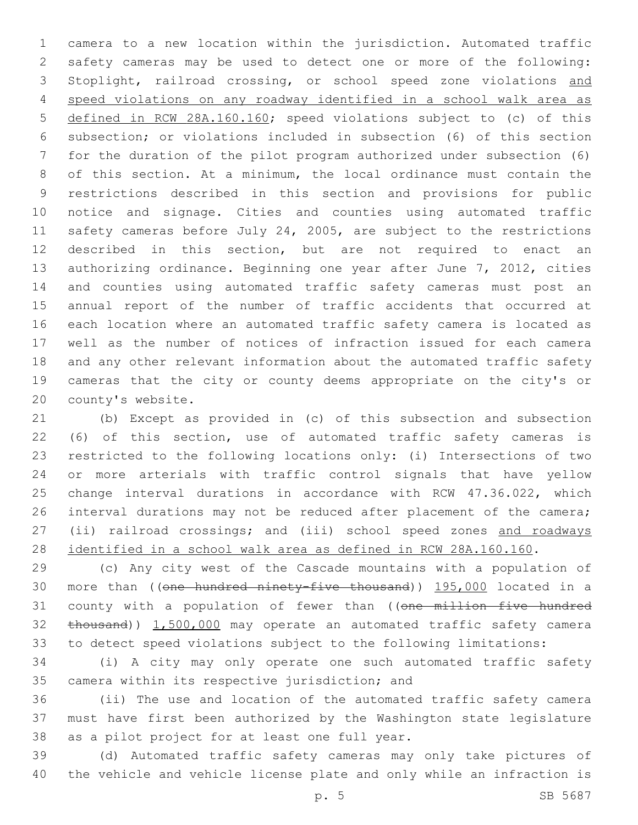camera to a new location within the jurisdiction. Automated traffic safety cameras may be used to detect one or more of the following: Stoplight, railroad crossing, or school speed zone violations and speed violations on any roadway identified in a school walk area as defined in RCW 28A.160.160; speed violations subject to (c) of this subsection; or violations included in subsection (6) of this section for the duration of the pilot program authorized under subsection (6) of this section. At a minimum, the local ordinance must contain the restrictions described in this section and provisions for public notice and signage. Cities and counties using automated traffic safety cameras before July 24, 2005, are subject to the restrictions described in this section, but are not required to enact an authorizing ordinance. Beginning one year after June 7, 2012, cities and counties using automated traffic safety cameras must post an annual report of the number of traffic accidents that occurred at each location where an automated traffic safety camera is located as well as the number of notices of infraction issued for each camera and any other relevant information about the automated traffic safety cameras that the city or county deems appropriate on the city's or 20 county's website.

 (b) Except as provided in (c) of this subsection and subsection (6) of this section, use of automated traffic safety cameras is restricted to the following locations only: (i) Intersections of two or more arterials with traffic control signals that have yellow change interval durations in accordance with RCW 47.36.022, which 26 interval durations may not be reduced after placement of the camera; (ii) railroad crossings; and (iii) school speed zones and roadways identified in a school walk area as defined in RCW 28A.160.160.

 (c) Any city west of the Cascade mountains with a population of more than ((one hundred ninety-five thousand)) 195,000 located in a 31 county with a population of fewer than ((one million five hundred 32 thousand)) 1,500,000 may operate an automated traffic safety camera to detect speed violations subject to the following limitations:

 (i) A city may only operate one such automated traffic safety 35 camera within its respective jurisdiction; and

 (ii) The use and location of the automated traffic safety camera must have first been authorized by the Washington state legislature 38 as a pilot project for at least one full year.

 (d) Automated traffic safety cameras may only take pictures of the vehicle and vehicle license plate and only while an infraction is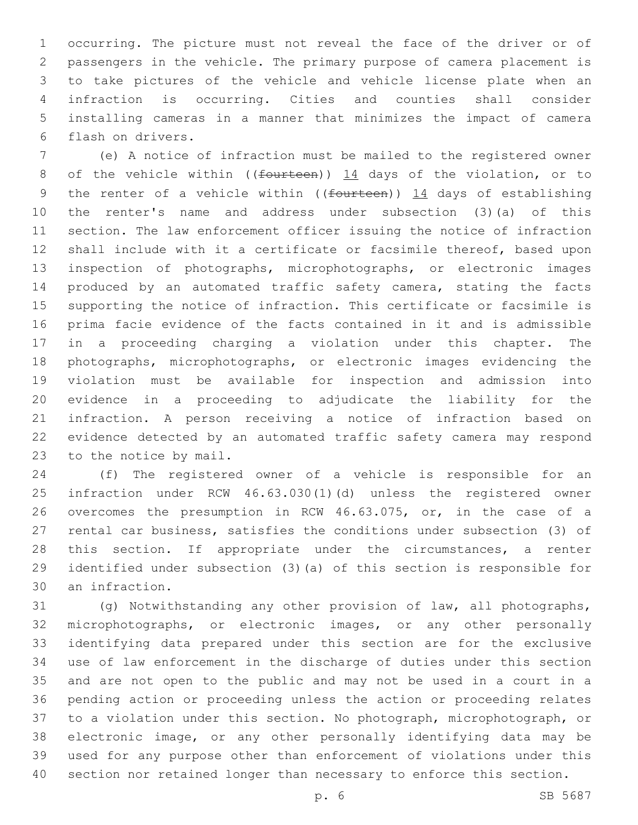occurring. The picture must not reveal the face of the driver or of passengers in the vehicle. The primary purpose of camera placement is to take pictures of the vehicle and vehicle license plate when an infraction is occurring. Cities and counties shall consider installing cameras in a manner that minimizes the impact of camera flash on drivers.6

 (e) A notice of infraction must be mailed to the registered owner 8 of the vehicle within ((fourteen)) 14 days of the violation, or to 9 the renter of a vehicle within (( $f$ ourteen))  $14$  days of establishing the renter's name and address under subsection (3)(a) of this section. The law enforcement officer issuing the notice of infraction shall include with it a certificate or facsimile thereof, based upon inspection of photographs, microphotographs, or electronic images produced by an automated traffic safety camera, stating the facts supporting the notice of infraction. This certificate or facsimile is prima facie evidence of the facts contained in it and is admissible in a proceeding charging a violation under this chapter. The photographs, microphotographs, or electronic images evidencing the violation must be available for inspection and admission into evidence in a proceeding to adjudicate the liability for the infraction. A person receiving a notice of infraction based on evidence detected by an automated traffic safety camera may respond 23 to the notice by mail.

 (f) The registered owner of a vehicle is responsible for an infraction under RCW 46.63.030(1)(d) unless the registered owner overcomes the presumption in RCW 46.63.075, or, in the case of a rental car business, satisfies the conditions under subsection (3) of 28 this section. If appropriate under the circumstances, a renter identified under subsection (3)(a) of this section is responsible for 30 an infraction.

 (g) Notwithstanding any other provision of law, all photographs, microphotographs, or electronic images, or any other personally identifying data prepared under this section are for the exclusive use of law enforcement in the discharge of duties under this section and are not open to the public and may not be used in a court in a pending action or proceeding unless the action or proceeding relates to a violation under this section. No photograph, microphotograph, or electronic image, or any other personally identifying data may be used for any purpose other than enforcement of violations under this section nor retained longer than necessary to enforce this section.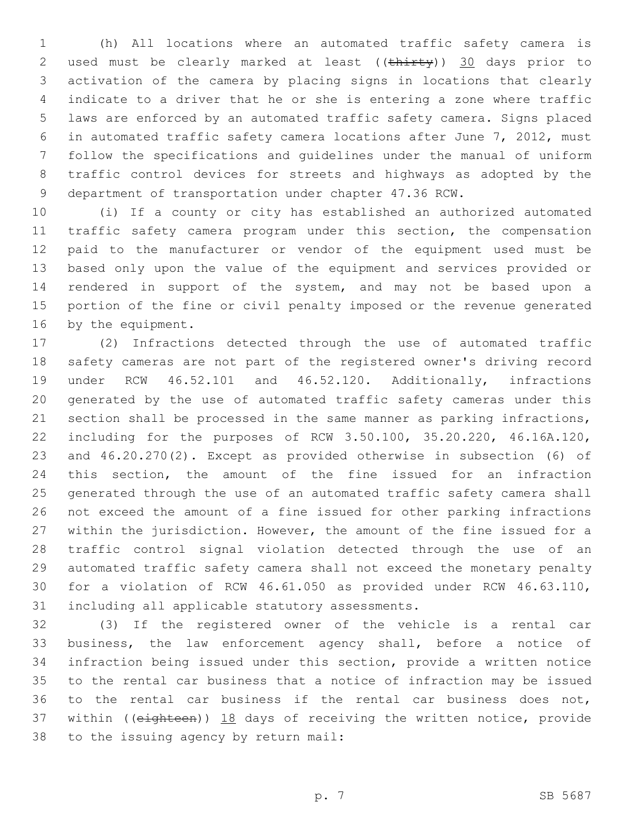(h) All locations where an automated traffic safety camera is 2 used must be clearly marked at least ((thirty)) 30 days prior to activation of the camera by placing signs in locations that clearly indicate to a driver that he or she is entering a zone where traffic laws are enforced by an automated traffic safety camera. Signs placed in automated traffic safety camera locations after June 7, 2012, must follow the specifications and guidelines under the manual of uniform traffic control devices for streets and highways as adopted by the department of transportation under chapter 47.36 RCW.

 (i) If a county or city has established an authorized automated traffic safety camera program under this section, the compensation paid to the manufacturer or vendor of the equipment used must be based only upon the value of the equipment and services provided or rendered in support of the system, and may not be based upon a portion of the fine or civil penalty imposed or the revenue generated 16 by the equipment.

 (2) Infractions detected through the use of automated traffic safety cameras are not part of the registered owner's driving record under RCW 46.52.101 and 46.52.120. Additionally, infractions generated by the use of automated traffic safety cameras under this section shall be processed in the same manner as parking infractions, including for the purposes of RCW 3.50.100, 35.20.220, 46.16A.120, and 46.20.270(2). Except as provided otherwise in subsection (6) of this section, the amount of the fine issued for an infraction generated through the use of an automated traffic safety camera shall not exceed the amount of a fine issued for other parking infractions within the jurisdiction. However, the amount of the fine issued for a traffic control signal violation detected through the use of an automated traffic safety camera shall not exceed the monetary penalty for a violation of RCW 46.61.050 as provided under RCW 46.63.110, 31 including all applicable statutory assessments.

 (3) If the registered owner of the vehicle is a rental car business, the law enforcement agency shall, before a notice of infraction being issued under this section, provide a written notice to the rental car business that a notice of infraction may be issued to the rental car business if the rental car business does not, 37 within ((eighteen)) 18 days of receiving the written notice, provide 38 to the issuing agency by return mail: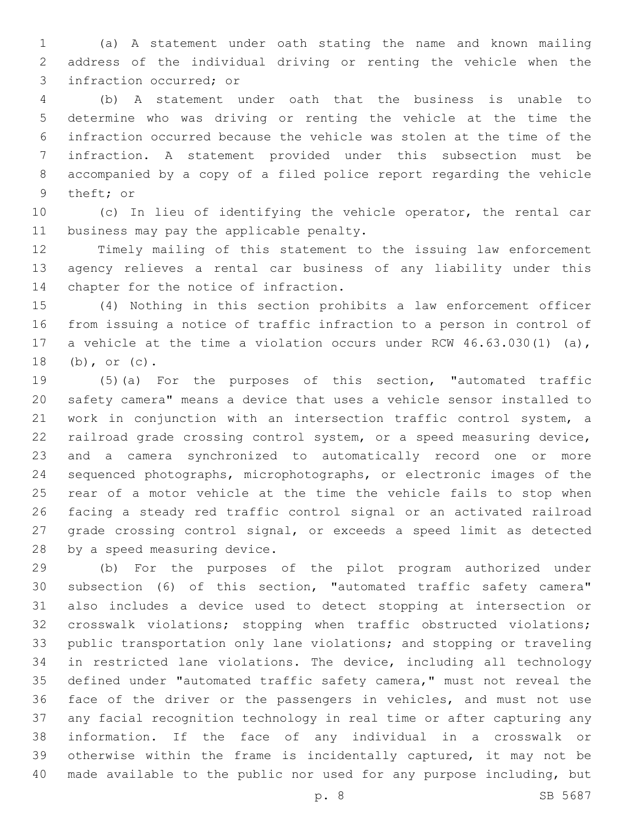(a) A statement under oath stating the name and known mailing address of the individual driving or renting the vehicle when the 3 infraction occurred; or

 (b) A statement under oath that the business is unable to determine who was driving or renting the vehicle at the time the infraction occurred because the vehicle was stolen at the time of the infraction. A statement provided under this subsection must be accompanied by a copy of a filed police report regarding the vehicle 9 theft; or

 (c) In lieu of identifying the vehicle operator, the rental car 11 business may pay the applicable penalty.

 Timely mailing of this statement to the issuing law enforcement agency relieves a rental car business of any liability under this 14 chapter for the notice of infraction.

 (4) Nothing in this section prohibits a law enforcement officer from issuing a notice of traffic infraction to a person in control of a vehicle at the time a violation occurs under RCW 46.63.030(1) (a), 18 (b), or (c).

 (5)(a) For the purposes of this section, "automated traffic safety camera" means a device that uses a vehicle sensor installed to work in conjunction with an intersection traffic control system, a railroad grade crossing control system, or a speed measuring device, and a camera synchronized to automatically record one or more sequenced photographs, microphotographs, or electronic images of the rear of a motor vehicle at the time the vehicle fails to stop when facing a steady red traffic control signal or an activated railroad grade crossing control signal, or exceeds a speed limit as detected 28 by a speed measuring device.

 (b) For the purposes of the pilot program authorized under subsection (6) of this section, "automated traffic safety camera" also includes a device used to detect stopping at intersection or crosswalk violations; stopping when traffic obstructed violations; public transportation only lane violations; and stopping or traveling in restricted lane violations. The device, including all technology defined under "automated traffic safety camera," must not reveal the face of the driver or the passengers in vehicles, and must not use any facial recognition technology in real time or after capturing any information. If the face of any individual in a crosswalk or otherwise within the frame is incidentally captured, it may not be made available to the public nor used for any purpose including, but

p. 8 SB 5687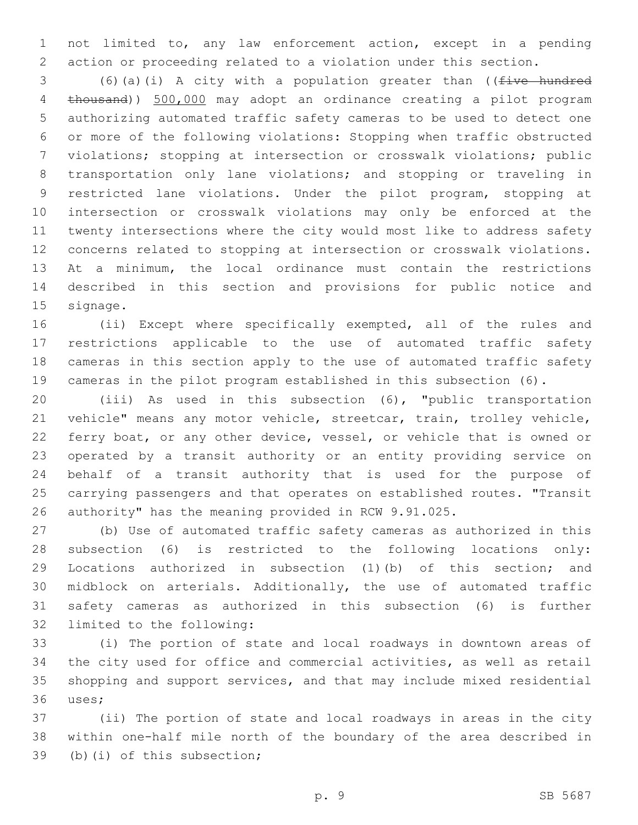not limited to, any law enforcement action, except in a pending action or proceeding related to a violation under this section.

 (6)(a)(i) A city with a population greater than ((five hundred thousand)) 500,000 may adopt an ordinance creating a pilot program authorizing automated traffic safety cameras to be used to detect one or more of the following violations: Stopping when traffic obstructed violations; stopping at intersection or crosswalk violations; public transportation only lane violations; and stopping or traveling in restricted lane violations. Under the pilot program, stopping at intersection or crosswalk violations may only be enforced at the twenty intersections where the city would most like to address safety concerns related to stopping at intersection or crosswalk violations. At a minimum, the local ordinance must contain the restrictions described in this section and provisions for public notice and 15 signage.

 (ii) Except where specifically exempted, all of the rules and restrictions applicable to the use of automated traffic safety cameras in this section apply to the use of automated traffic safety cameras in the pilot program established in this subsection (6).

 (iii) As used in this subsection (6), "public transportation vehicle" means any motor vehicle, streetcar, train, trolley vehicle, ferry boat, or any other device, vessel, or vehicle that is owned or operated by a transit authority or an entity providing service on behalf of a transit authority that is used for the purpose of carrying passengers and that operates on established routes. "Transit authority" has the meaning provided in RCW 9.91.025.

 (b) Use of automated traffic safety cameras as authorized in this subsection (6) is restricted to the following locations only: Locations authorized in subsection (1)(b) of this section; and midblock on arterials. Additionally, the use of automated traffic safety cameras as authorized in this subsection (6) is further 32 limited to the following:

 (i) The portion of state and local roadways in downtown areas of the city used for office and commercial activities, as well as retail shopping and support services, and that may include mixed residential 36 uses;

 (ii) The portion of state and local roadways in areas in the city within one-half mile north of the boundary of the area described in 39 (b)(i) of this subsection;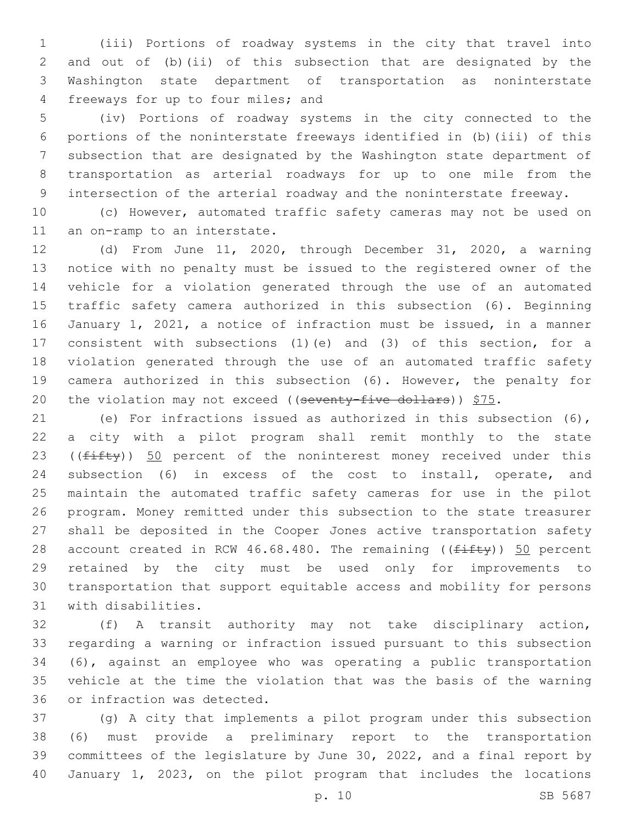(iii) Portions of roadway systems in the city that travel into and out of (b)(ii) of this subsection that are designated by the Washington state department of transportation as noninterstate 4 freeways for up to four miles; and

 (iv) Portions of roadway systems in the city connected to the portions of the noninterstate freeways identified in (b)(iii) of this subsection that are designated by the Washington state department of transportation as arterial roadways for up to one mile from the intersection of the arterial roadway and the noninterstate freeway.

 (c) However, automated traffic safety cameras may not be used on 11 an on-ramp to an interstate.

 (d) From June 11, 2020, through December 31, 2020, a warning notice with no penalty must be issued to the registered owner of the vehicle for a violation generated through the use of an automated traffic safety camera authorized in this subsection (6). Beginning January 1, 2021, a notice of infraction must be issued, in a manner consistent with subsections (1)(e) and (3) of this section, for a violation generated through the use of an automated traffic safety camera authorized in this subsection (6). However, the penalty for 20 the violation may not exceed ((seventy-five dollars))  $$75.$ 

 (e) For infractions issued as authorized in this subsection (6), a city with a pilot program shall remit monthly to the state 23 ( $(fiff(y))$  50 percent of the noninterest money received under this subsection (6) in excess of the cost to install, operate, and maintain the automated traffic safety cameras for use in the pilot program. Money remitted under this subsection to the state treasurer shall be deposited in the Cooper Jones active transportation safety 28 account created in RCW 46.68.480. The remaining  $((f\text{iff}y))$  50 percent retained by the city must be used only for improvements to transportation that support equitable access and mobility for persons 31 with disabilities.

 (f) A transit authority may not take disciplinary action, regarding a warning or infraction issued pursuant to this subsection (6), against an employee who was operating a public transportation vehicle at the time the violation that was the basis of the warning 36 or infraction was detected.

 (g) A city that implements a pilot program under this subsection (6) must provide a preliminary report to the transportation committees of the legislature by June 30, 2022, and a final report by January 1, 2023, on the pilot program that includes the locations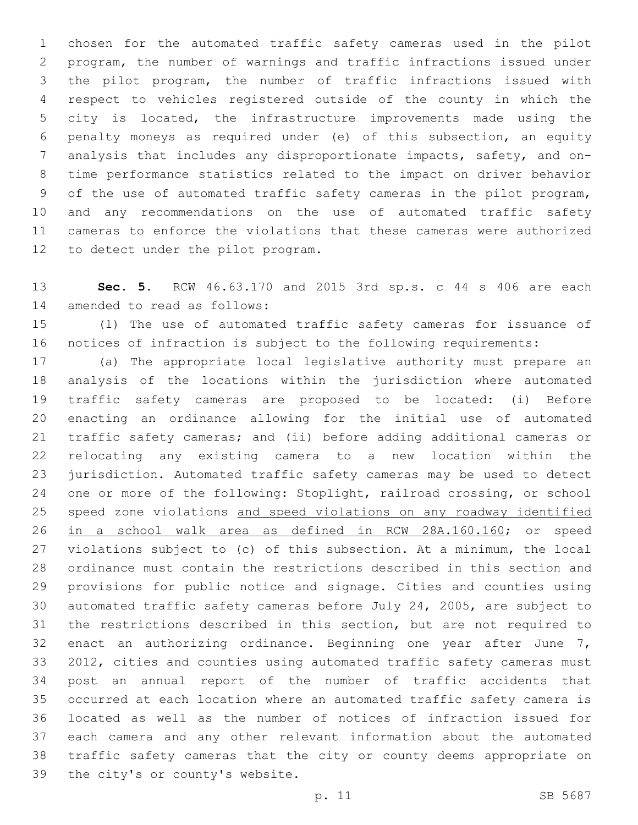chosen for the automated traffic safety cameras used in the pilot program, the number of warnings and traffic infractions issued under the pilot program, the number of traffic infractions issued with respect to vehicles registered outside of the county in which the city is located, the infrastructure improvements made using the penalty moneys as required under (e) of this subsection, an equity analysis that includes any disproportionate impacts, safety, and on- time performance statistics related to the impact on driver behavior of the use of automated traffic safety cameras in the pilot program, and any recommendations on the use of automated traffic safety cameras to enforce the violations that these cameras were authorized 12 to detect under the pilot program.

 **Sec. 5.** RCW 46.63.170 and 2015 3rd sp.s. c 44 s 406 are each 14 amended to read as follows:

 (1) The use of automated traffic safety cameras for issuance of notices of infraction is subject to the following requirements:

 (a) The appropriate local legislative authority must prepare an analysis of the locations within the jurisdiction where automated traffic safety cameras are proposed to be located: (i) Before enacting an ordinance allowing for the initial use of automated traffic safety cameras; and (ii) before adding additional cameras or relocating any existing camera to a new location within the jurisdiction. Automated traffic safety cameras may be used to detect one or more of the following: Stoplight, railroad crossing, or school speed zone violations and speed violations on any roadway identified in a school walk area as defined in RCW 28A.160.160; or speed violations subject to (c) of this subsection. At a minimum, the local ordinance must contain the restrictions described in this section and provisions for public notice and signage. Cities and counties using automated traffic safety cameras before July 24, 2005, are subject to the restrictions described in this section, but are not required to 32 enact an authorizing ordinance. Beginning one year after June 7, 2012, cities and counties using automated traffic safety cameras must post an annual report of the number of traffic accidents that occurred at each location where an automated traffic safety camera is located as well as the number of notices of infraction issued for each camera and any other relevant information about the automated traffic safety cameras that the city or county deems appropriate on 39 the city's or county's website.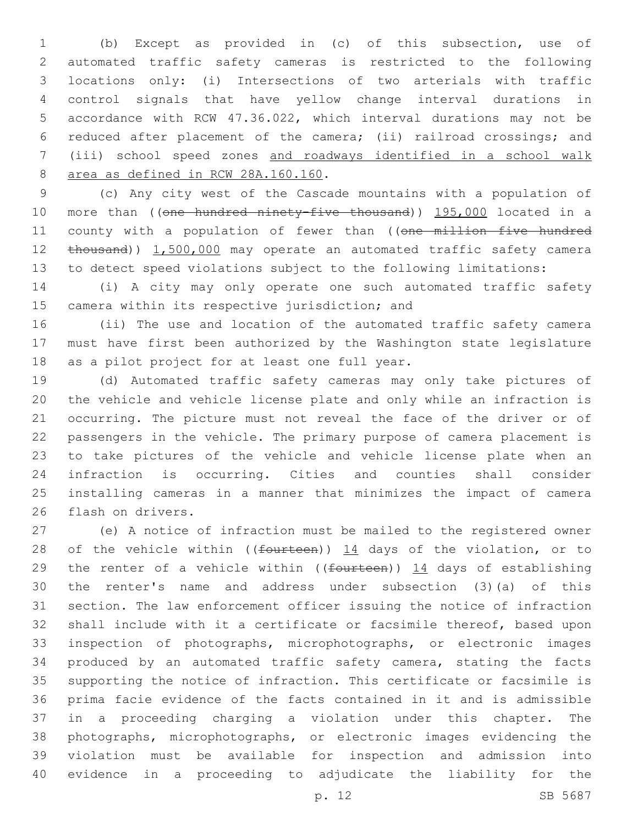(b) Except as provided in (c) of this subsection, use of automated traffic safety cameras is restricted to the following locations only: (i) Intersections of two arterials with traffic control signals that have yellow change interval durations in accordance with RCW 47.36.022, which interval durations may not be reduced after placement of the camera; (ii) railroad crossings; and (iii) school speed zones and roadways identified in a school walk 8 area as defined in RCW 28A.160.160.

 (c) Any city west of the Cascade mountains with a population of 10 more than ((one hundred ninety-five thousand)) 195,000 located in a 11 county with a population of fewer than ((one million five hundred 12 thousand)) 1,500,000 may operate an automated traffic safety camera to detect speed violations subject to the following limitations:

 (i) A city may only operate one such automated traffic safety 15 camera within its respective jurisdiction; and

 (ii) The use and location of the automated traffic safety camera must have first been authorized by the Washington state legislature 18 as a pilot project for at least one full year.

 (d) Automated traffic safety cameras may only take pictures of the vehicle and vehicle license plate and only while an infraction is occurring. The picture must not reveal the face of the driver or of passengers in the vehicle. The primary purpose of camera placement is to take pictures of the vehicle and vehicle license plate when an infraction is occurring. Cities and counties shall consider installing cameras in a manner that minimizes the impact of camera 26 flash on drivers.

 (e) A notice of infraction must be mailed to the registered owner 28 of the vehicle within (( $f$ ourteen))  $14$  days of the violation, or to 29 the renter of a vehicle within (( $f$ ourteen))  $14$  days of establishing the renter's name and address under subsection (3)(a) of this section. The law enforcement officer issuing the notice of infraction shall include with it a certificate or facsimile thereof, based upon inspection of photographs, microphotographs, or electronic images produced by an automated traffic safety camera, stating the facts supporting the notice of infraction. This certificate or facsimile is prima facie evidence of the facts contained in it and is admissible in a proceeding charging a violation under this chapter. The photographs, microphotographs, or electronic images evidencing the violation must be available for inspection and admission into evidence in a proceeding to adjudicate the liability for the

p. 12 SB 5687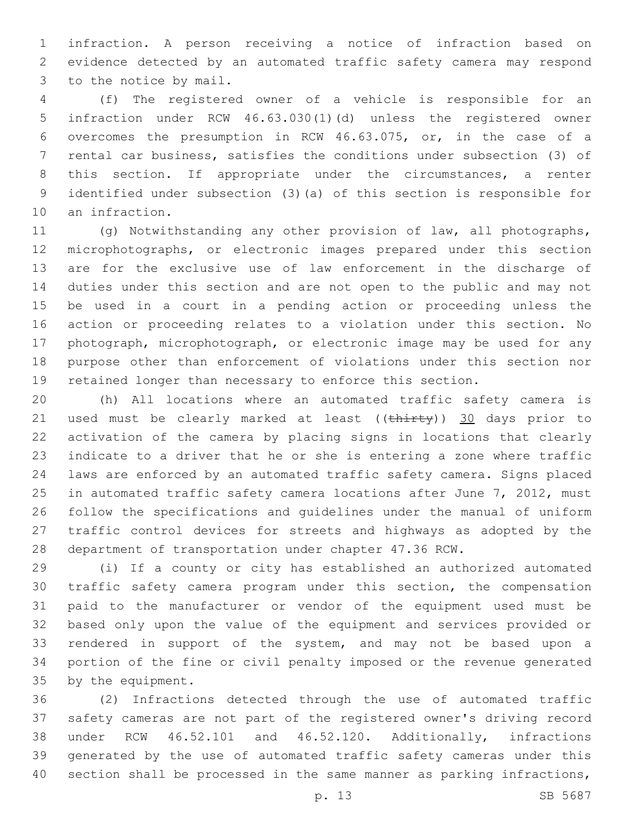infraction. A person receiving a notice of infraction based on evidence detected by an automated traffic safety camera may respond 3 to the notice by mail.

 (f) The registered owner of a vehicle is responsible for an infraction under RCW 46.63.030(1)(d) unless the registered owner overcomes the presumption in RCW 46.63.075, or, in the case of a rental car business, satisfies the conditions under subsection (3) of this section. If appropriate under the circumstances, a renter identified under subsection (3)(a) of this section is responsible for 10 an infraction.

 (g) Notwithstanding any other provision of law, all photographs, microphotographs, or electronic images prepared under this section are for the exclusive use of law enforcement in the discharge of duties under this section and are not open to the public and may not be used in a court in a pending action or proceeding unless the action or proceeding relates to a violation under this section. No photograph, microphotograph, or electronic image may be used for any purpose other than enforcement of violations under this section nor retained longer than necessary to enforce this section.

 (h) All locations where an automated traffic safety camera is 21 used must be clearly marked at least ((thirty)) 30 days prior to activation of the camera by placing signs in locations that clearly indicate to a driver that he or she is entering a zone where traffic laws are enforced by an automated traffic safety camera. Signs placed 25 in automated traffic safety camera locations after June 7, 2012, must follow the specifications and guidelines under the manual of uniform traffic control devices for streets and highways as adopted by the department of transportation under chapter 47.36 RCW.

 (i) If a county or city has established an authorized automated traffic safety camera program under this section, the compensation paid to the manufacturer or vendor of the equipment used must be based only upon the value of the equipment and services provided or rendered in support of the system, and may not be based upon a portion of the fine or civil penalty imposed or the revenue generated 35 by the equipment.

 (2) Infractions detected through the use of automated traffic safety cameras are not part of the registered owner's driving record under RCW 46.52.101 and 46.52.120. Additionally, infractions generated by the use of automated traffic safety cameras under this 40 section shall be processed in the same manner as parking infractions,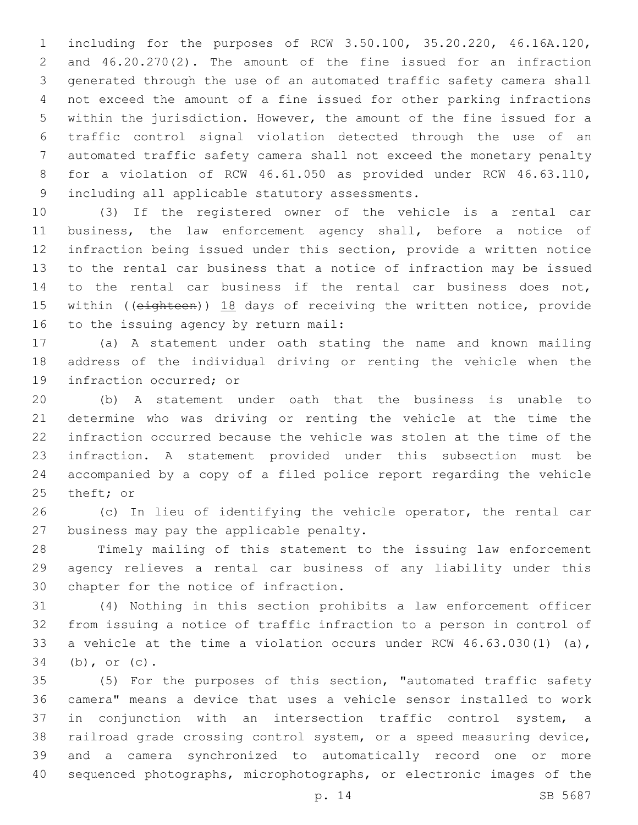including for the purposes of RCW 3.50.100, 35.20.220, 46.16A.120, and 46.20.270(2). The amount of the fine issued for an infraction generated through the use of an automated traffic safety camera shall not exceed the amount of a fine issued for other parking infractions within the jurisdiction. However, the amount of the fine issued for a traffic control signal violation detected through the use of an automated traffic safety camera shall not exceed the monetary penalty for a violation of RCW 46.61.050 as provided under RCW 46.63.110, 9 including all applicable statutory assessments.

 (3) If the registered owner of the vehicle is a rental car business, the law enforcement agency shall, before a notice of infraction being issued under this section, provide a written notice to the rental car business that a notice of infraction may be issued to the rental car business if the rental car business does not, 15 within ((eighteen)) 18 days of receiving the written notice, provide 16 to the issuing agency by return mail:

 (a) A statement under oath stating the name and known mailing address of the individual driving or renting the vehicle when the 19 infraction occurred; or

 (b) A statement under oath that the business is unable to determine who was driving or renting the vehicle at the time the infraction occurred because the vehicle was stolen at the time of the infraction. A statement provided under this subsection must be accompanied by a copy of a filed police report regarding the vehicle 25 theft; or

 (c) In lieu of identifying the vehicle operator, the rental car 27 business may pay the applicable penalty.

 Timely mailing of this statement to the issuing law enforcement agency relieves a rental car business of any liability under this 30 chapter for the notice of infraction.

 (4) Nothing in this section prohibits a law enforcement officer from issuing a notice of traffic infraction to a person in control of a vehicle at the time a violation occurs under RCW 46.63.030(1) (a), 34 (b), or (c).

 (5) For the purposes of this section, "automated traffic safety camera" means a device that uses a vehicle sensor installed to work in conjunction with an intersection traffic control system, a railroad grade crossing control system, or a speed measuring device, and a camera synchronized to automatically record one or more sequenced photographs, microphotographs, or electronic images of the

p. 14 SB 5687